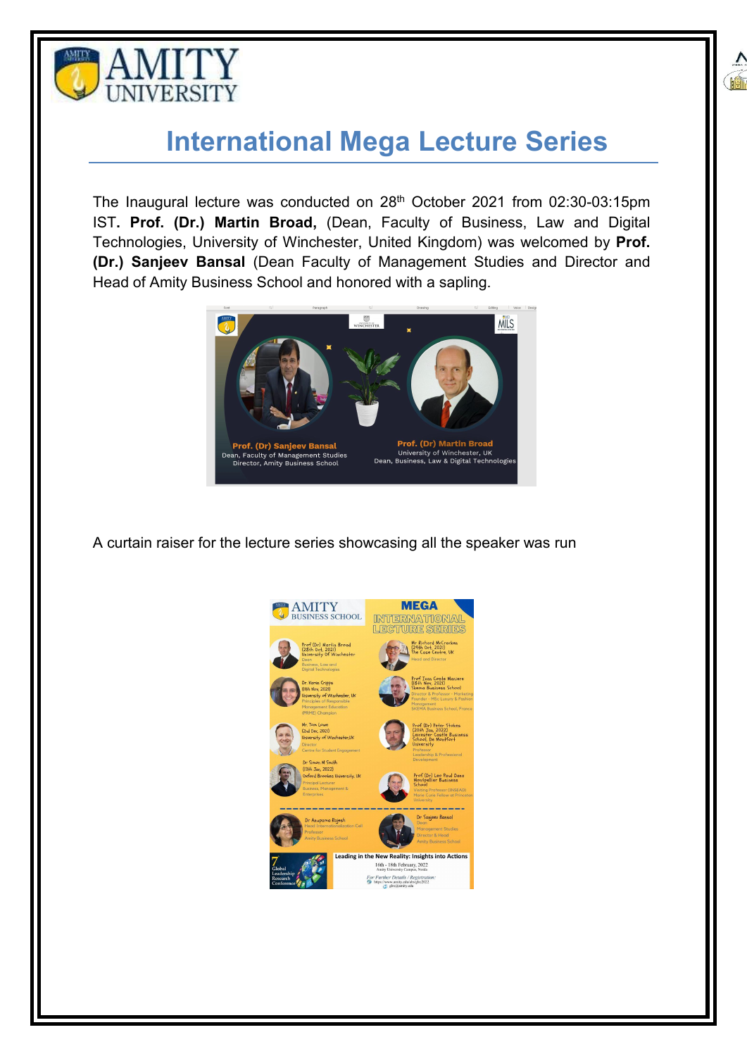



## **International Mega Lecture Series**

The Inaugural lecture was conducted on 28<sup>th</sup> October 2021 from 02:30-03:15pm  $\blacksquare$ IST**. Prof. (Dr.) Martin Broad,** (Dean, Faculty of Business, Law and Digital Technologies, University of Winchester, United Kingdom) was welcomed by **Prof. (Dr.) Sanjeev Bansal** (Dean Faculty of Management Studies and Director and Head of Amity Business School and honored with a sapling.



A curtain raiser for the lecture series showcasing all the speaker was run

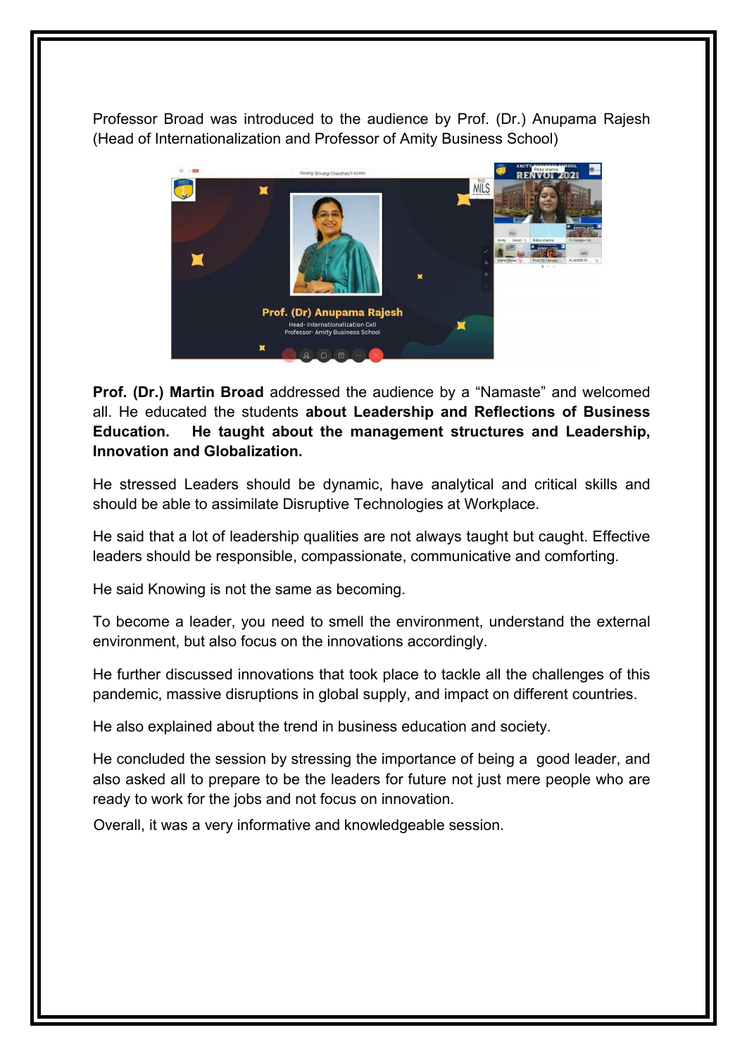Professor Broad was introduced to the audience by Prof. (Dr.) Anupama Rajesh (Head of Internationalization and Professor of Amity Business School)



**Prof. (Dr.) Martin Broad** addressed the audience by a "Namaste" and welcomed all. He educated the students **aboutLeadership and Reflections of Business Education. He taught about the management structures and Leadership, Innovation and Globalization.**

He stressed Leaders should be dynamic, have analytical and critical skills and should be able to assimilate Disruptive Technologies at Workplace.

He said that a lot of leadership qualities are not always taught but caught. Effective leaders should be responsible, compassionate, communicative and comforting.

He said Knowing is not the same as becoming.

To become a leader, you need to smell the environment, understand the external environment, but also focus on the innovations accordingly.

He further discussed innovations that took place to tackle all the challenges of this pandemic, massive disruptions in global supply, and impact on different countries.

He also explained about the trend in business education and society.

He concluded the session by stressing the importance of being a good leader, and also asked all to prepare to be the leaders for future not just mere people who are ready to work for the jobs and not focus on innovation.

Overall, it was a very informative and knowledgeable session.